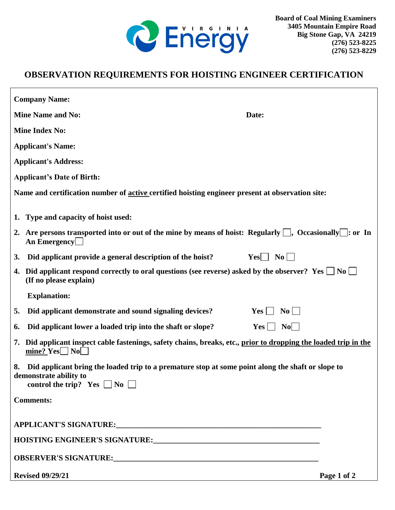

## **OBSERVATION REQUIREMENTS FOR HOISTING ENGINEER CERTIFICATION**

| <b>Company Name:</b>                                                                                                                                                        |                              |
|-----------------------------------------------------------------------------------------------------------------------------------------------------------------------------|------------------------------|
| <b>Mine Name and No:</b>                                                                                                                                                    | Date:                        |
| <b>Mine Index No:</b>                                                                                                                                                       |                              |
| <b>Applicant's Name:</b>                                                                                                                                                    |                              |
| <b>Applicant's Address:</b>                                                                                                                                                 |                              |
| <b>Applicant's Date of Birth:</b>                                                                                                                                           |                              |
| Name and certification number of active certified hoisting engineer present at observation site:                                                                            |                              |
| 1. Type and capacity of hoist used:                                                                                                                                         |                              |
| 2. Are persons transported into or out of the mine by means of hoist: Regularly $\Box$ , Occasionally $\Box$ : or In<br>An Emergency                                        |                              |
| Did applicant provide a general description of the hoist?<br><b>3.</b>                                                                                                      | $Yes \tNo \t$                |
| 4. Did applicant respond correctly to oral questions (see reverse) asked by the observer? Yes $\Box$ No $\Box$<br>(If no please explain)                                    |                              |
| <b>Explanation:</b>                                                                                                                                                         |                              |
| Did applicant demonstrate and sound signaling devices?<br>5.                                                                                                                | $\bf{No}$<br>$Yes \mid \mid$ |
| Did applicant lower a loaded trip into the shaft or slope?<br>6.                                                                                                            | $Yes \bigsqcup No \bigsqcup$ |
| Did applicant inspect cable fastenings, safety chains, breaks, etc., prior to dropping the loaded trip in the<br>7.<br>mine? $Yes \cup No \cup$                             |                              |
| Did applicant bring the loaded trip to a premature stop at some point along the shaft or slope to<br>8.<br>demonstrate ability to<br>control the trip? Yes $\Box$ No $\Box$ |                              |
| <b>Comments:</b>                                                                                                                                                            |                              |
|                                                                                                                                                                             |                              |
|                                                                                                                                                                             |                              |
|                                                                                                                                                                             |                              |
| <b>Revised 09/29/21</b>                                                                                                                                                     | Page 1 of 2                  |